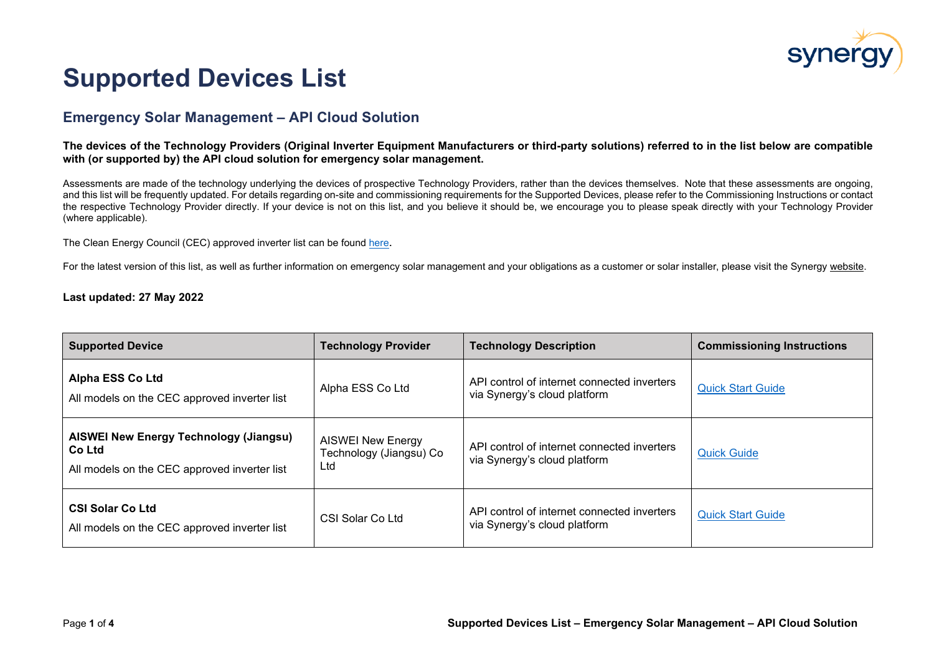

## **Supported Devices List**

## **Emergency Solar Management – API Cloud Solution**

**The devices of the Technology Providers (Original Inverter Equipment Manufacturers or third-party solutions) referred to in the list below are compatible with (or supported by) the API cloud solution for emergency solar management.**

Assessments are made of the technology underlying the devices of prospective Technology Providers, rather than the devices themselves. Note that these assessments are ongoing, and this list will be frequently updated. For details regarding on-site and commissioning requirements for the Supported Devices, please refer to the Commissioning Instructions or contact the respective Technology Provider directly. If your device is not on this list, and you believe it should be, we encourage you to please speak directly with your Technology Provider (where applicable).

The Clean Energy Council (CEC) approved inverter list can be found [here.](https://www.cleanenergycouncil.org.au/industry/products/inverters/approved-inverters)

For the latest version of this list, as well as further information on emergency solar management and your obligations as a customer or solar installer, please visit the Synergy [website.](http://www.synergy.net.au/global/ESM-solar-industry)

## **Last updated: 27 May 2022**

| <b>Supported Device</b>                                                                                 | <b>Technology Provider</b>                                 | <b>Technology Description</b>                                               | <b>Commissioning Instructions</b> |
|---------------------------------------------------------------------------------------------------------|------------------------------------------------------------|-----------------------------------------------------------------------------|-----------------------------------|
| <b>Alpha ESS Co Ltd</b><br>All models on the CEC approved inverter list                                 | Alpha ESS Co Ltd                                           | API control of internet connected inverters<br>via Synergy's cloud platform | <b>Quick Start Guide</b>          |
| <b>AISWEI New Energy Technology (Jiangsu)</b><br>Co Ltd<br>All models on the CEC approved inverter list | <b>AISWEI New Energy</b><br>Technology (Jiangsu) Co<br>Ltd | API control of internet connected inverters<br>via Synergy's cloud platform | <b>Quick Guide</b>                |
| <b>CSI Solar Co Ltd</b><br>All models on the CEC approved inverter list                                 | CSI Solar Co Ltd                                           | API control of internet connected inverters<br>via Synergy's cloud platform | <b>Quick Start Guide</b>          |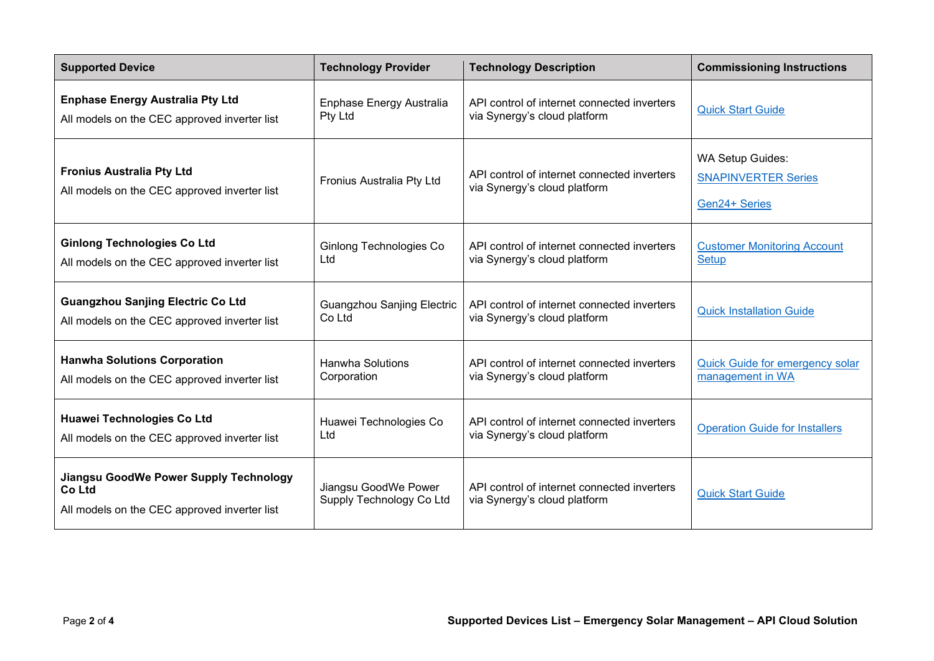| <b>Supported Device</b>                                                                                 | <b>Technology Provider</b>                       | <b>Technology Description</b>                                               | <b>Commissioning Instructions</b>                                      |
|---------------------------------------------------------------------------------------------------------|--------------------------------------------------|-----------------------------------------------------------------------------|------------------------------------------------------------------------|
| <b>Enphase Energy Australia Pty Ltd</b>                                                                 | Enphase Energy Australia                         | API control of internet connected inverters                                 | <b>Quick Start Guide</b>                                               |
| All models on the CEC approved inverter list                                                            | Pty Ltd                                          | via Synergy's cloud platform                                                |                                                                        |
| <b>Fronius Australia Pty Ltd</b><br>All models on the CEC approved inverter list                        | Fronius Australia Pty Ltd                        | API control of internet connected inverters<br>via Synergy's cloud platform | <b>WA Setup Guides:</b><br><b>SNAPINVERTER Series</b><br>Gen24+ Series |
| <b>Ginlong Technologies Co Ltd</b>                                                                      | Ginlong Technologies Co                          | API control of internet connected inverters                                 | <b>Customer Monitoring Account</b>                                     |
| All models on the CEC approved inverter list                                                            | Ltd                                              | via Synergy's cloud platform                                                | <b>Setup</b>                                                           |
| <b>Guangzhou Sanjing Electric Co Ltd</b>                                                                | <b>Guangzhou Sanjing Electric</b>                | API control of internet connected inverters                                 | <b>Quick Installation Guide</b>                                        |
| All models on the CEC approved inverter list                                                            | Co Ltd                                           | via Synergy's cloud platform                                                |                                                                        |
| <b>Hanwha Solutions Corporation</b>                                                                     | <b>Hanwha Solutions</b>                          | API control of internet connected inverters                                 | Quick Guide for emergency solar                                        |
| All models on the CEC approved inverter list                                                            | Corporation                                      | via Synergy's cloud platform                                                | management in WA                                                       |
| <b>Huawei Technologies Co Ltd</b>                                                                       | Huawei Technologies Co                           | API control of internet connected inverters                                 | <b>Operation Guide for Installers</b>                                  |
| All models on the CEC approved inverter list                                                            | Ltd                                              | via Synergy's cloud platform                                                |                                                                        |
| <b>Jiangsu GoodWe Power Supply Technology</b><br>Co Ltd<br>All models on the CEC approved inverter list | Jiangsu GoodWe Power<br>Supply Technology Co Ltd | API control of internet connected inverters<br>via Synergy's cloud platform | <b>Quick Start Guide</b>                                               |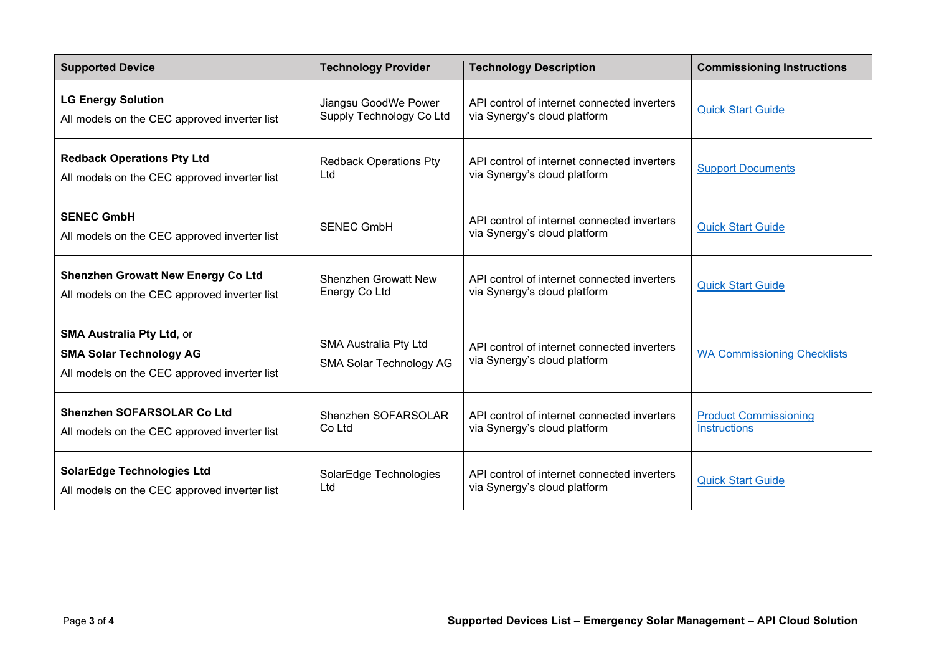| <b>Supported Device</b>                                                                                            | <b>Technology Provider</b>                              | <b>Technology Description</b>                                               | <b>Commissioning Instructions</b>  |
|--------------------------------------------------------------------------------------------------------------------|---------------------------------------------------------|-----------------------------------------------------------------------------|------------------------------------|
| <b>LG Energy Solution</b>                                                                                          | Jiangsu GoodWe Power                                    | API control of internet connected inverters                                 | <b>Quick Start Guide</b>           |
| All models on the CEC approved inverter list                                                                       | Supply Technology Co Ltd                                | via Synergy's cloud platform                                                |                                    |
| <b>Redback Operations Pty Ltd</b>                                                                                  | <b>Redback Operations Pty</b>                           | API control of internet connected inverters                                 | <b>Support Documents</b>           |
| All models on the CEC approved inverter list                                                                       | Ltd                                                     | via Synergy's cloud platform                                                |                                    |
| <b>SENEC GmbH</b><br>All models on the CEC approved inverter list                                                  | <b>SENEC GmbH</b>                                       | API control of internet connected inverters<br>via Synergy's cloud platform | <b>Quick Start Guide</b>           |
| <b>Shenzhen Growatt New Energy Co Ltd</b>                                                                          | <b>Shenzhen Growatt New</b>                             | API control of internet connected inverters                                 | <b>Quick Start Guide</b>           |
| All models on the CEC approved inverter list                                                                       | Energy Co Ltd                                           | via Synergy's cloud platform                                                |                                    |
| <b>SMA Australia Pty Ltd, or</b><br><b>SMA Solar Technology AG</b><br>All models on the CEC approved inverter list | <b>SMA Australia Pty Ltd</b><br>SMA Solar Technology AG | API control of internet connected inverters<br>via Synergy's cloud platform | <b>WA Commissioning Checklists</b> |
| <b>Shenzhen SOFARSOLAR Co Ltd</b>                                                                                  | Shenzhen SOFARSOLAR                                     | API control of internet connected inverters                                 | <b>Product Commissioning</b>       |
| All models on the CEC approved inverter list                                                                       | Co Ltd                                                  | via Synergy's cloud platform                                                | <b>Instructions</b>                |
| <b>SolarEdge Technologies Ltd</b>                                                                                  | SolarEdge Technologies                                  | API control of internet connected inverters                                 | <b>Quick Start Guide</b>           |
| All models on the CEC approved inverter list                                                                       | Ltd                                                     | via Synergy's cloud platform                                                |                                    |